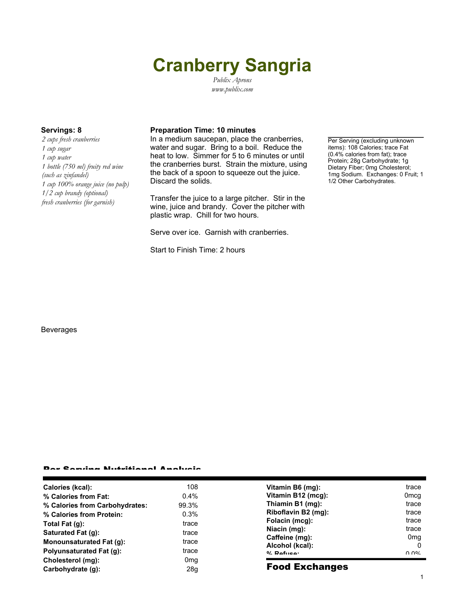# **Cranberry Sangria**

*Publix Aprons www.publix.com*

*2 cups fresh cranberries 1 cup sugar 1 cup water 1 bottle (750 ml) fruity red wine (such as zinfandel) 1 cup 100% orange juice (no pulp) 1/2 cup brandy (optional) fresh cranberries (for garnish)*

### **Servings: 8 Preparation Time: 10 minutes**

In a medium saucepan, place the cranberries, water and sugar. Bring to a boil. Reduce the heat to low. Simmer for 5 to 6 minutes or until the cranberries burst. Strain the mixture, using the back of a spoon to squeeze out the juice. Discard the solids.

Transfer the juice to a large pitcher. Stir in the wine, juice and brandy. Cover the pitcher with plastic wrap. Chill for two hours.

Serve over ice. Garnish with cranberries.

Start to Finish Time: 2 hours

Per Serving (excluding unknown items): 108 Calories; trace Fat (0.4% calories from fat); trace Protein; 28g Carbohydrate; 1g Dietary Fiber; 0mg Cholesterol; 1mg Sodium. Exchanges: 0 Fruit; 1 1/2 Other Carbohydrates.

#### Beverages

#### Per Serving Nutritional Analysis

| Calories (kcal):                | 108             | Vitamin B6 (mg):      | trace            |
|---------------------------------|-----------------|-----------------------|------------------|
| % Calories from Fat:            | $0.4\%$         | Vitamin B12 (mcg):    | 0 <sub>mcq</sub> |
| % Calories from Carbohydrates:  | 99.3%           | Thiamin B1 (mg):      | trace            |
| % Calories from Protein:        | 0.3%            | Riboflavin B2 (mg):   | trace            |
| Total Fat (g):                  | trace           | Folacin (mcg):        | trace            |
| Saturated Fat (g):              |                 | Niacin (mg):          | trace            |
|                                 | trace           | Caffeine (mg):        | 0 <sub>mq</sub>  |
| Monounsaturated Fat (g):        | trace           | Alcohol (kcal):       | 0                |
| <b>Polyunsaturated Fat (g):</b> | trace           | $0/2$ Pofileon        | በ በ%             |
| Cholesterol (mg):               | 0 <sub>mg</sub> |                       |                  |
| Carbohydrate (q):               | 28g             | <b>Food Exchanges</b> |                  |